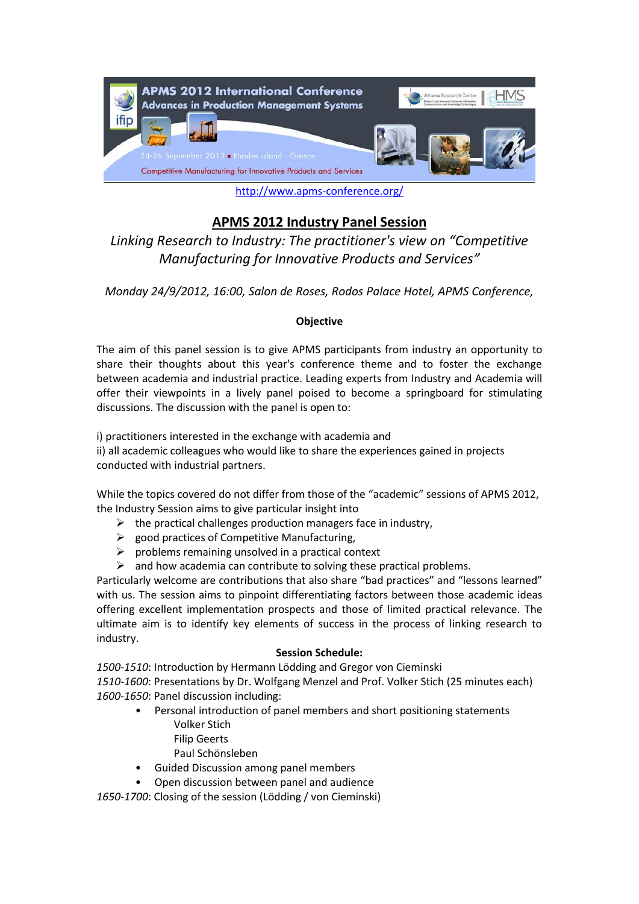

<http://www.apms-conference.org/>

# **APMS 2012 Industry Panel Session**

*Linking Research to Industry: The practitioner's view on "Competitive Manufacturing for Innovative Products and Services"*

*Monday 24/9/2012, 16:00, Salon de Roses, Rodos Palace Hotel, APMS Conference,*

## **Objective**

The aim of this panel session is to give APMS participants from industry an opportunity to share their thoughts about this year's conference theme and to foster the exchange between academia and industrial practice. Leading experts from Industry and Academia will offer their viewpoints in a lively panel poised to become a springboard for stimulating discussions. The discussion with the panel is open to:

i) practitioners interested in the exchange with academia and

ii) all academic colleagues who would like to share the experiences gained in projects conducted with industrial partners.

While the topics covered do not differ from those of the "academic" sessions of APMS 2012, the Industry Session aims to give particular insight into

- $\triangleright$  the practical challenges production managers face in industry,
- $\triangleright$  good practices of Competitive Manufacturing,
- $\triangleright$  problems remaining unsolved in a practical context
- $\triangleright$  and how academia can contribute to solving these practical problems.

Particularly welcome are contributions that also share "bad practices" and "lessons learned" with us. The session aims to pinpoint differentiating factors between those academic ideas offering excellent implementation prospects and those of limited practical relevance. The ultimate aim is to identify key elements of success in the process of linking research to industry.

## **Session Schedule:**

*1500-1510*: Introduction by Hermann Lödding and Gregor von Cieminski *1510-1600*: Presentations by Dr. Wolfgang Menzel and Prof. Volker Stich (25 minutes each) *1600-1650*: Panel discussion including:

- Personal introduction of panel members and short positioning statements Volker Stich Filip Geerts
	- Paul Schönsleben
- Guided Discussion among panel members
- Open discussion between panel and audience

*1650-1700*: Closing of the session (Lödding / von Cieminski)